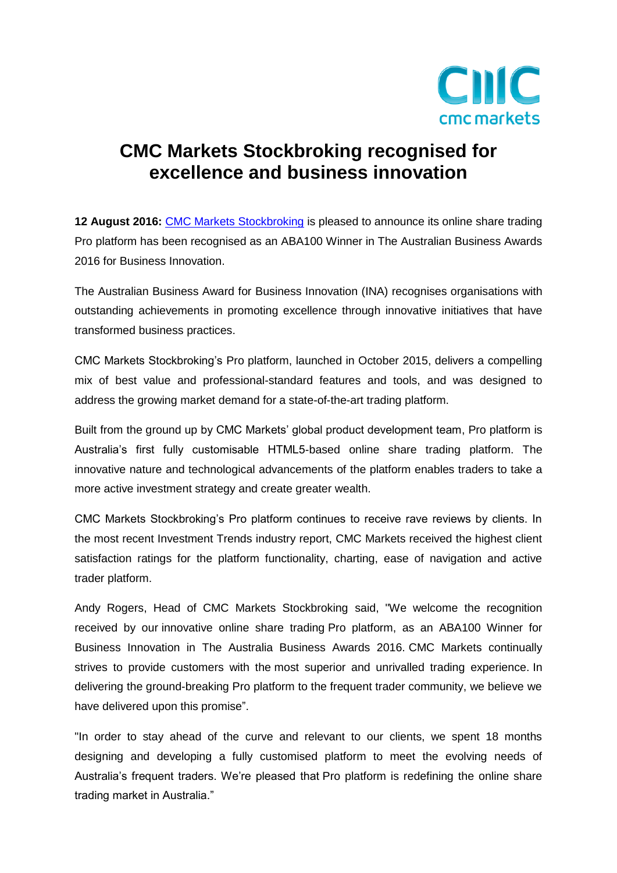

## **CMC Markets Stockbroking recognised for excellence and business innovation**

**12 August 2016:** [CMC Markets](http://www.cmcmarkets.com.au/) Stockbroking is pleased to announce its online share trading Pro platform has been recognised as an ABA100 Winner in The Australian Business Awards 2016 for Business Innovation.

The Australian Business Award for Business Innovation (INA) recognises organisations with outstanding achievements in promoting excellence through innovative initiatives that have transformed business practices.

CMC Markets Stockbroking's Pro platform, launched in October 2015, delivers a compelling mix of best value and professional-standard features and tools, and was designed to address the growing market demand for a state-of-the-art trading platform.

Built from the ground up by CMC Markets' global product development team, Pro platform is Australia's first fully customisable HTML5-based online share trading platform. The innovative nature and technological advancements of the platform enables traders to take a more active investment strategy and create greater wealth.

CMC Markets Stockbroking's Pro platform continues to receive rave reviews by clients. In the most recent Investment Trends industry report, CMC Markets received the highest client satisfaction ratings for the platform functionality, charting, ease of navigation and active trader platform.

Andy Rogers, Head of CMC Markets Stockbroking said, "We welcome the recognition received by our innovative online share trading Pro platform, as an ABA100 Winner for Business Innovation in The Australia Business Awards 2016. CMC Markets continually strives to provide customers with the most superior and unrivalled trading experience. In delivering the ground-breaking Pro platform to the frequent trader community, we believe we have delivered upon this promise".

"In order to stay ahead of the curve and relevant to our clients, we spent 18 months designing and developing a fully customised platform to meet the evolving needs of Australia's frequent traders. We're pleased that Pro platform is redefining the online share trading market in Australia."